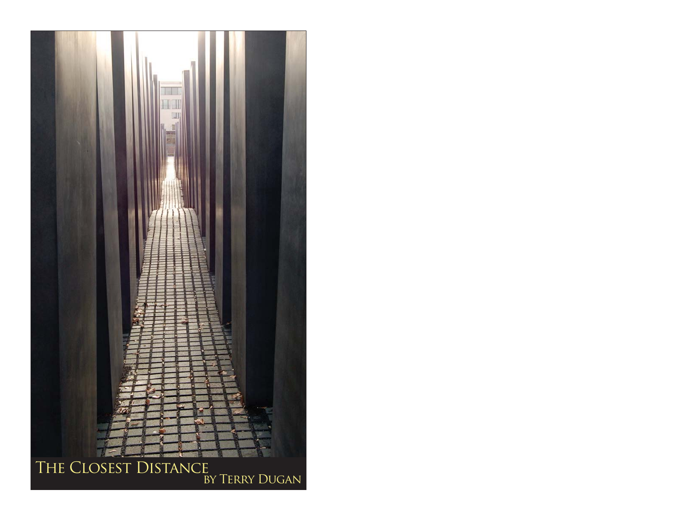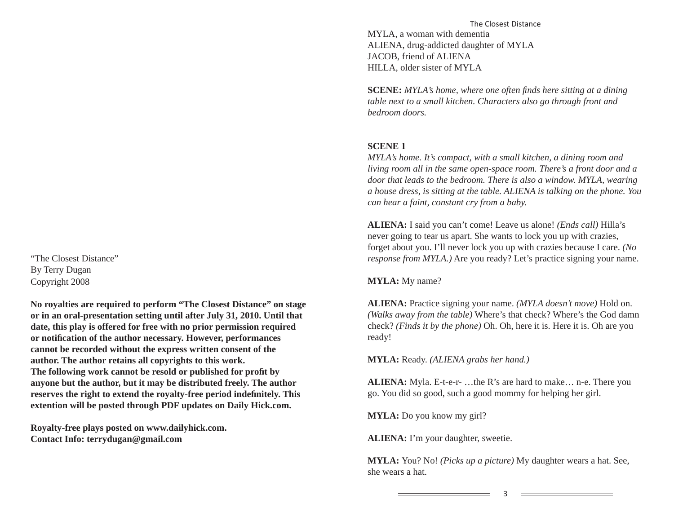"The Closest Distance"By Terry Dugan Copyright 2008

**No royalties are required to perform "The Closest Distance" on stage or in an oral-presentation setting until after July 31, 2010. Until that date, this play is offered for free with no prior permission required or notifi cation of the author necessary. However, performances cannot be recorded without the express written consent of the author. The author retains all copyrights to this work.**  The following work cannot be resold or published for profit by **anyone but the author, but it may be distributed freely. The author**  reserves the right to extend the royalty-free period indefinitely. This **extention will be posted through PDF updates on Daily Hick.com.** 

**Royalty-free plays posted on www.dailyhick.com. Contact Info: terrydugan@gmail.com**

The Closest DistanceMYLA, a woman with dementia ALIENA, drug-addicted daughter of MYLA JACOB, friend of ALIENA HILLA, older sister of MYLA

**SCENE:** *MYLA's home, where one often fi nds here sitting at a dining table next to a small kitchen. Characters also go through front and bedroom doors.*

# **SCENE 1**

*MYLA's home. It's compact, with a small kitchen, a dining room and living room all in the same open-space room. There's a front door and a door that leads to the bedroom. There is also a window. MYLA, wearing a house dress, is sitting at the table. ALIENA is talking on the phone. You can hear a faint, constant cry from a baby.*

**ALIENA:** I said you can't come! Leave us alone! *(Ends call)* Hilla's never going to tear us apart. She wants to lock you up with crazies, forget about you. I'll never lock you up with crazies because I care. *(No response from MYLA.*) Are you ready? Let's practice signing your name.

**MYLA:** My name?

**ALIENA:** Practice signing your name. *(MYLA doesn't move)* Hold on. *(Walks away from the table)* Where's that check? Where's the God damn check? *(Finds it by the phone)* Oh. Oh, here it is. Here it is. Oh are you ready!

**MYLA:** Ready. *(ALIENA grabs her hand.)*

**ALIENA:** Myla. E-t-e-r- …the R's are hard to make… n-e. There you go. You did so good, such a good mommy for helping her girl.

**MYLA:** Do you know my girl?

**ALIENA:** I'm your daughter, sweetie.

the control of the control of the control of the control of the control of

**MYLA:** You? No! *(Picks up a picture)* My daughter wears a hat. See, she wears a hat.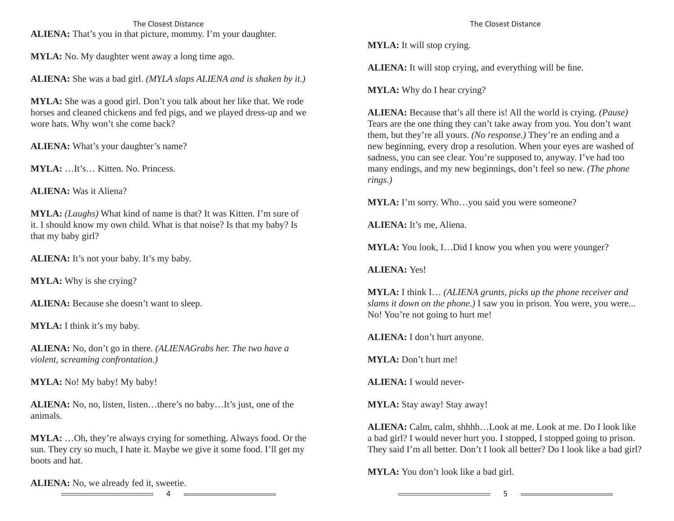The Closest Distance**ALIENA:** That's you in that picture, mommy. I'm your daughter.

**MYLA:** No. My daughter went away a long time ago.

**ALIENA:** She was a bad girl. *(MYLA slaps ALIENA and is shaken by it.)*

**MYLA:** She was a good girl. Don't you talk about her like that. We rode horses and cleaned chickens and fed pigs, and we played dress-up and we wore hats. Why won't she come back?

**ALIENA:** What's your daughter's name?

**MYLA:** …It's… Kitten. No. Princess.

**ALIENA:** Was it Aliena?

**MYLA:** *(Laughs)* What kind of name is that? It was Kitten. I'm sure of it. I should know my own child. What is that noise? Is that my baby? Is that my baby girl?

**ALIENA:** It's not your baby. It's my baby.

**MYLA:** Why is she crying?

ALIENA: Because she doesn't want to sleep.

**MYLA:** I think it's my baby.

**ALIENA:** No, don't go in there. *(ALIENAGrabs her. The two have a violent, screaming confrontation.)*

**MYLA:** No! My baby! My baby!

**ALIENA:** No, no, listen, listen…there's no baby…It's just, one of the animals.

**MYLA:** …Oh, they're always crying for something. Always food. Or the sun. They cry so much, I hate it. Maybe we give it some food. I'll get my boots and hat.

**ALIENA:** No, we already fed it, sweetie. <u> De la Carlo de la Carlo de la Carlo de la Carlo de la Carlo de la Carlo de la Carlo de la Carlo de la Carlo d</u>

The Closest Distance

**MYLA:** It will stop crying.

**ALIENA:** It will stop crying, and everything will be fine.

**MYLA:** Why do I hear crying?

**ALIENA:** Because that's all there is! All the world is crying. *(Pause)* Tears are the one thing they can't take away from you. You don't want them, but they're all yours. *(No response.)* They're an ending and a new beginning, every drop a resolution. When your eyes are washed of sadness, you can see clear. You're supposed to, anyway. I've had too many endings, and my new beginnings, don't feel so new. *(The phone rings.)*

**MYLA:** I'm sorry. Who…you said you were someone?

**ALIENA:** It's me, Aliena.

**MYLA:** You look, I…Did I know you when you were younger?

**ALIENA:** Yes!

**MYLA:** I think I… *(ALIENA grunts, picks up the phone receiver and slams it down on the phone.)* I saw you in prison. You were, you were... No! You're not going to hurt me!

**ALIENA:** I don't hurt anyone.

**MYLA:** Don't hurt me!

**ALIENA:** I would never-

**MYLA:** Stay away! Stay away!

**ALIENA:** Calm, calm, shhhh…Look at me. Look at me. Do I look like a bad girl? I would never hurt you. I stopped, I stopped going to prison. They said I'm all better. Don't I look all better? Do I look like a bad girl?

**MYLA:** You don't look like a bad girl.

the contract of the contract of the contract of the contract of the contract of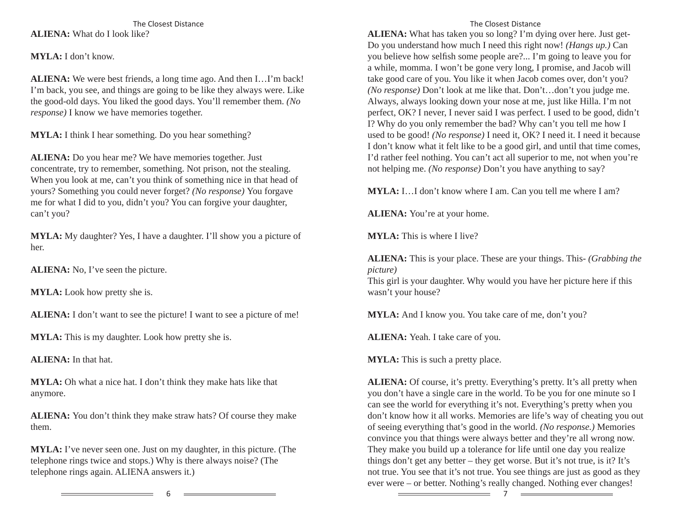The Closest Distance**ALIENA:** What do I look like?

**MYLA:** I don't know.

**ALIENA:** We were best friends, a long time ago. And then I…I'm back! I'm back, you see, and things are going to be like they always were. Like the good-old days. You liked the good days. You'll remember them. *(No response)* I know we have memories together.

**MYLA:** I think I hear something. Do you hear something?

**ALIENA:** Do you hear me? We have memories together. Just concentrate, try to remember, something. Not prison, not the stealing. When you look at me, can't you think of something nice in that head of yours? Something you could never forget? *(No response)* You forgave me for what I did to you, didn't you? You can forgive your daughter, can't you?

**MYLA:** My daughter? Yes, I have a daughter. I'll show you a picture of her.

**ALIENA:** No, I've seen the picture.

**MYLA:** Look how pretty she is.

**ALIENA:** I don't want to see the picture! I want to see a picture of me!

**MYLA:** This is my daughter. Look how pretty she is.

**ALIENA:** In that hat.

**MYLA:** Oh what a nice hat. I don't think they make hats like that anymore.

**ALIENA:** You don't think they make straw hats? Of course they make them.

**MYLA:** I've never seen one. Just on my daughter, in this picture. (The telephone rings twice and stops.) Why is there always noise? (The telephone rings again. ALIENA answers it.)

# The Closest Distance

**ALIENA:** What has taken you so long? I'm dying over here. Just get-Do you understand how much I need this right now! *(Hangs up.)* Can you believe how selfish some people are?... I'm going to leave you for a while, momma. I won't be gone very long, I promise, and Jacob will take good care of you. You like it when Jacob comes over, don't you? *(No response)* Don't look at me like that. Don't…don't you judge me. Always, always looking down your nose at me, just like Hilla. I'm not perfect, OK? I never, I never said I was perfect. I used to be good, didn't I? Why do you only remember the bad? Why can't you tell me how I used to be good! *(No response)* I need it, OK? I need it. I need it because I don't know what it felt like to be a good girl, and until that time comes, I'd rather feel nothing. You can't act all superior to me, not when you're not helping me. *(No response)* Don't you have anything to say?

**MYLA:** I…I don't know where I am. Can you tell me where I am?

**ALIENA:** You're at your home.

**MYLA:** This is where I live?

**ALIENA:** This is your place. These are your things. This- *(Grabbing the picture)*

This girl is your daughter. Why would you have her picture here if this wasn't your house?

**MYLA:** And I know you. You take care of me, don't you?

**ALIENA:** Yeah. I take care of you.

**MYLA:** This is such a pretty place.

**ALIENA:** Of course, it's pretty. Everything's pretty. It's all pretty when you don't have a single care in the world. To be you for one minute so I can see the world for everything it's not. Everything's pretty when you don't know how it all works. Memories are life's way of cheating you out of seeing everything that's good in the world. *(No response.)* Memories convince you that things were always better and they're all wrong now. They make you build up a tolerance for life until one day you realize things don't get any better – they get worse. But it's not true, is it? It's not true. You see that it's not true. You see things are just as good as they ever were – or better. Nothing's really changed. Nothing ever changes!

6

7

<u> The Communication of the Communication</u>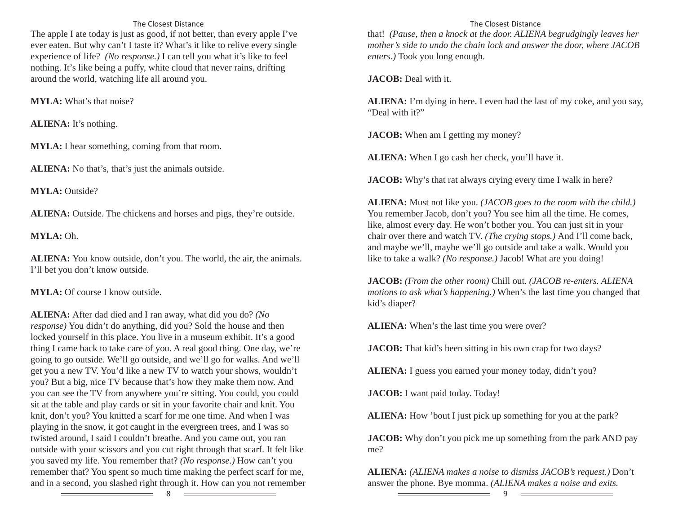# The Closest Distance

The apple I ate today is just as good, if not better, than every apple I've ever eaten. But why can't I taste it? What's it like to relive every single experience of life? *(No response.)* I can tell you what it's like to feel nothing. It's like being a puffy, white cloud that never rains, drifting around the world, watching life all around you.

**MYLA:** What's that noise?

**ALIENA:** It's nothing.

**MYLA:** I hear something, coming from that room.

**ALIENA:** No that's, that's just the animals outside.

**MYLA:** Outside?

ALIENA: Outside. The chickens and horses and pigs, they're outside.

**MYLA:** Oh.

**ALIENA:** You know outside, don't you. The world, the air, the animals. I'll bet you don't know outside.

**MYLA:** Of course I know outside.

**ALIENA:** After dad died and I ran away, what did you do? *(No response)* You didn't do anything, did you? Sold the house and then locked yourself in this place. You live in a museum exhibit. It's a good thing I came back to take care of you. A real good thing. One day, we're going to go outside. We'll go outside, and we'll go for walks. And we'll get you a new TV. You'd like a new TV to watch your shows, wouldn't you? But a big, nice TV because that's how they make them now. And you can see the TV from anywhere you're sitting. You could, you could sit at the table and play cards or sit in your favorite chair and knit. You knit, don't you? You knitted a scarf for me one time. And when I was playing in the snow, it got caught in the evergreen trees, and I was so twisted around, I said I couldn't breathe. And you came out, you ran outside with your scissors and you cut right through that scarf. It felt like you saved my life. You remember that? *(No response.)* How can't you remember that? You spent so much time making the perfect scarf for me, and in a second, you slashed right through it. How can you not remember

# The Closest Distance

that! *(Pause, then a knock at the door. ALIENA begrudgingly leaves her mother's side to undo the chain lock and answer the door, where JACOB enters.)* Took you long enough.

**JACOB:** Deal with it.

**ALIENA:** I'm dying in here. I even had the last of my coke, and you say, "Deal with it?"

**JACOB:** When am I getting my money?

**ALIENA:** When I go cash her check, you'll have it.

**JACOB:** Why's that rat always crying every time I walk in here?

**ALIENA:** Must not like you. *(JACOB goes to the room with the child.)* You remember Jacob, don't you? You see him all the time. He comes, like, almost every day. He won't bother you. You can just sit in your chair over there and watch TV. *(The crying stops.)* And I'll come back, and maybe we'll, maybe we'll go outside and take a walk. Would you like to take a walk? *(No response.)* Jacob! What are you doing!

**JACOB:** *(From the other room)* Chill out. *(JACOB re-enters. ALIENA motions to ask what's happening.)* When's the last time you changed that kid's diaper?

**ALIENA:** When's the last time you were over?

**JACOB:** That kid's been sitting in his own crap for two days?

**ALIENA:** I guess you earned your money today, didn't you?

**JACOB:** I want paid today. Today!

**ALIENA:** How 'bout I just pick up something for you at the park?

**JACOB:** Why don't you pick me up something from the park AND pay me?

**ALIENA:** *(ALIENA makes a noise to dismiss JACOB's request.)* Don't answer the phone. Bye momma. *(ALIENA makes a noise and exits.* 

8

 $\frac{1}{1}$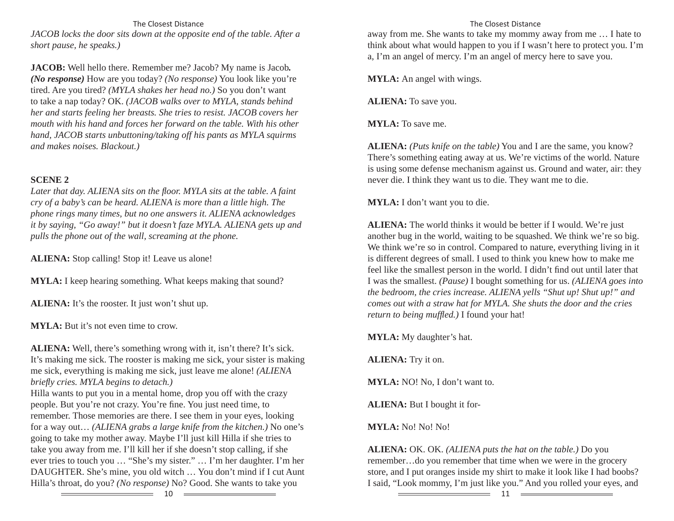The Closest Distance*JACOB locks the door sits down at the opposite end of the table. After a short pause, he speaks.)*

**JACOB:** Well hello there. Remember me? Jacob? My name is Jacob*. (No response)* How are you today? *(No response)* You look like you're tired. Are you tired? *(MYLA shakes her head no.)* So you don't want to take a nap today? OK. *(JACOB walks over to MYLA, stands behind her and starts feeling her breasts. She tries to resist. JACOB covers her mouth with his hand and forces her forward on the table. With his other hand, JACOB starts unbuttoning/taking off his pants as MYLA squirms and makes noises. Blackout.)*

# **SCENE 2**

*Later that day. ALIENA sits on the fl oor. MYLA sits at the table. A faint cry of a baby's can be heard. ALIENA is more than a little high. The phone rings many times, but no one answers it. ALIENA acknowledges it by saying, "Go away!" but it doesn't faze MYLA. ALIENA gets up and pulls the phone out of the wall, screaming at the phone.*

**ALIENA:** Stop calling! Stop it! Leave us alone!

**MYLA:** I keep hearing something. What keeps making that sound?

**ALIENA:** It's the rooster. It just won't shut up.

**MYLA:** But it's not even time to crow.

**ALIENA:** Well, there's something wrong with it, isn't there? It's sick. It's making me sick. The rooster is making me sick, your sister is making me sick, everything is making me sick, just leave me alone! *(ALIENA briefl y cries. MYLA begins to detach.)*

Hilla wants to put you in a mental home, drop you off with the crazy people. But you're not crazy. You're fine. You just need time, to remember. Those memories are there. I see them in your eyes, looking for a way out… *(ALIENA grabs a large knife from the kitchen.)* No one's going to take my mother away. Maybe I'll just kill Hilla if she tries to take you away from me. I'll kill her if she doesn't stop calling, if she ever tries to touch you … "She's my sister." … I'm her daughter. I'm her DAUGHTER. She's mine, you old witch … You don't mind if I cut Aunt Hilla's throat, do you? *(No response)* No? Good. She wants to take you

away from me. She wants to take my mommy away from me … I hate to think about what would happen to you if I wasn't here to protect you. I'm a, I'm an angel of mercy. I'm an angel of mercy here to save you.

**MYLA:** An angel with wings.

**ALIENA:** To save you.

**MYLA:** To save me.

**ALIENA:** *(Puts knife on the table)* You and I are the same, you know? There's something eating away at us. We're victims of the world. Nature is using some defense mechanism against us. Ground and water, air: they never die. I think they want us to die. They want me to die.

**MYLA:** I don't want you to die.

**ALIENA:** The world thinks it would be better if I would. We're just another bug in the world, waiting to be squashed. We think we're so big. We think we're so in control. Compared to nature, everything living in it is different degrees of small. I used to think you knew how to make me feel like the smallest person in the world. I didn't find out until later that I was the smallest. *(Pause)* I bought something for us. *(ALIENA goes into the bedroom, the cries increase. ALIENA yells "Shut up! Shut up!" and comes out with a straw hat for MYLA. She shuts the door and the cries return to being muffled.*) I found your hat!

**MYLA:** My daughter's hat.

**ALIENA:** Try it on.

**MYLA:** NO! No, I don't want to.

**ALIENA:** But I bought it for-

**MYLA:** No! No! No!

**ALIENA:** OK. OK. *(ALIENA puts the hat on the table.)* Do you remember…do you remember that time when we were in the grocery store, and I put oranges inside my shirt to make it look like I had boobs? I said, "Look mommy, I'm just like you." And you rolled your eyes, and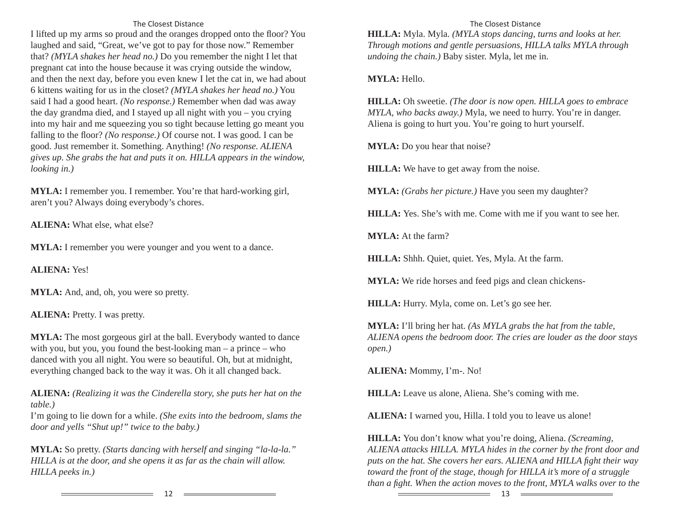### The Closest Distance

I lifted up my arms so proud and the oranges dropped onto the floor? You laughed and said, "Great, we've got to pay for those now." Remember that? *(MYLA shakes her head no.)* Do you remember the night I let that pregnant cat into the house because it was crying outside the window, and then the next day, before you even knew I let the cat in, we had about 6 kittens waiting for us in the closet? *(MYLA shakes her head no.)* You said I had a good heart. *(No response.)* Remember when dad was away the day grandma died, and I stayed up all night with you – you crying into my hair and me squeezing you so tight because letting go meant you falling to the floor? *(No response.)* Of course not. I was good. I can be good. Just remember it. Something. Anything! *(No response. ALIENA gives up. She grabs the hat and puts it on. HILLA appears in the window, looking in.)* 

**MYLA:** I remember you. I remember. You're that hard-working girl, aren't you? Always doing everybody's chores.

**ALIENA:** What else, what else?

**MYLA:** I remember you were younger and you went to a dance.

**ALIENA:** Yes!

**MYLA:** And, and, oh, you were so pretty.

**ALIENA:** Pretty. I was pretty.

**MYLA:** The most gorgeous girl at the ball. Everybody wanted to dance with you, but you, you found the best-looking man – a prince – who danced with you all night. You were so beautiful. Oh, but at midnight, everything changed back to the way it was. Oh it all changed back.

**ALIENA:** *(Realizing it was the Cinderella story, she puts her hat on the table.)*

I'm going to lie down for a while. *(She exits into the bedroom, slams the door and yells "Shut up!" twice to the baby.)*

**MYLA:** So pretty. *(Starts dancing with herself and singing "la-la-la." HILLA is at the door, and she opens it as far as the chain will allow. HILLA peeks in.)*

#### The Closest Distance

**HILLA:** Myla. Myla. *(MYLA stops dancing, turns and looks at her. Through motions and gentle persuasions, HILLA talks MYLA through undoing the chain.)* Baby sister. Myla, let me in.

**MYLA:** Hello.

**HILLA:** Oh sweetie. *(The door is now open. HILLA goes to embrace MYLA, who backs away.)* Myla, we need to hurry. You're in danger. Aliena is going to hurt you. You're going to hurt yourself.

**MYLA:** Do you hear that noise?

**HILLA:** We have to get away from the noise.

**MYLA:** *(Grabs her picture.)* Have you seen my daughter?

**HILLA:** Yes. She's with me. Come with me if you want to see her.

**MYLA:** At the farm?

**HILLA:** Shhh. Quiet, quiet. Yes, Myla. At the farm.

**MYLA:** We ride horses and feed pigs and clean chickens-

**HILLA:** Hurry. Myla, come on. Let's go see her.

**MYLA:** I'll bring her hat. *(As MYLA grabs the hat from the table, ALIENA opens the bedroom door. The cries are louder as the door stays open.)*

**ALIENA:** Mommy, I'm-. No!

**HILLA:** Leave us alone, Aliena. She's coming with me.

**ALIENA:** I warned you, Hilla. I told you to leave us alone!

**HILLA:** You don't know what you're doing, Aliena. *(Screaming, ALIENA attacks HILLA. MYLA hides in the corner by the front door and puts on the hat. She covers her ears. ALIENA and HILLA fi ght their way toward the front of the stage, though for HILLA it's more of a struggle than a fight. When the action moves to the front, MYLA walks over to the* 

12